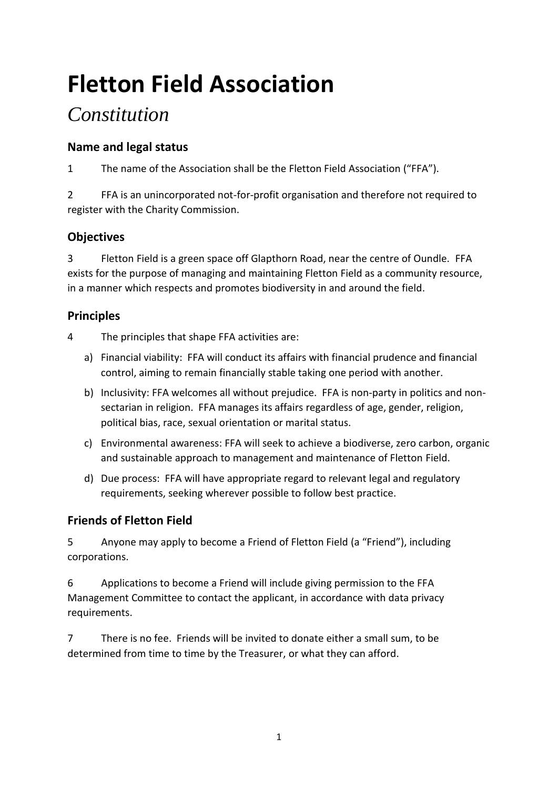# **Fletton Field Association**

# *Constitution*

# **Name and legal status**

1 The name of the Association shall be the Fletton Field Association ("FFA").

2 FFA is an unincorporated not-for-profit organisation and therefore not required to register with the Charity Commission.

# **Objectives**

3 Fletton Field is a green space off Glapthorn Road, near the centre of Oundle. FFA exists for the purpose of managing and maintaining Fletton Field as a community resource, in a manner which respects and promotes biodiversity in and around the field.

# **Principles**

- 4 The principles that shape FFA activities are:
	- a) Financial viability: FFA will conduct its affairs with financial prudence and financial control, aiming to remain financially stable taking one period with another.
	- b) Inclusivity: FFA welcomes all without prejudice. FFA is non-party in politics and nonsectarian in religion. FFA manages its affairs regardless of age, gender, religion, political bias, race, sexual orientation or marital status.
	- c) Environmental awareness: FFA will seek to achieve a biodiverse, zero carbon, organic and sustainable approach to management and maintenance of Fletton Field.
	- d) Due process: FFA will have appropriate regard to relevant legal and regulatory requirements, seeking wherever possible to follow best practice.

# **Friends of Fletton Field**

5 Anyone may apply to become a Friend of Fletton Field (a "Friend"), including corporations.

6 Applications to become a Friend will include giving permission to the FFA Management Committee to contact the applicant, in accordance with data privacy requirements.

7 There is no fee. Friends will be invited to donate either a small sum, to be determined from time to time by the Treasurer, or what they can afford.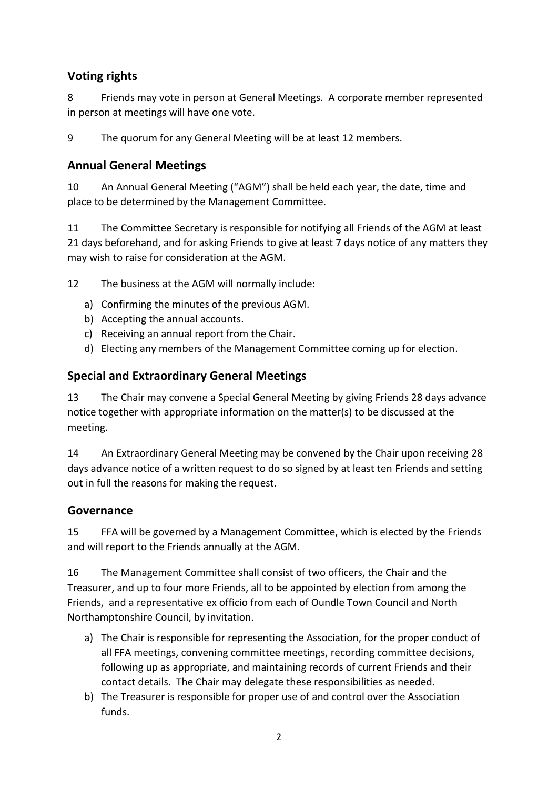### **Voting rights**

8 Friends may vote in person at General Meetings. A corporate member represented in person at meetings will have one vote.

9 The quorum for any General Meeting will be at least 12 members.

#### **Annual General Meetings**

10 An Annual General Meeting ("AGM") shall be held each year, the date, time and place to be determined by the Management Committee.

11 The Committee Secretary is responsible for notifying all Friends of the AGM at least 21 days beforehand, and for asking Friends to give at least 7 days notice of any matters they may wish to raise for consideration at the AGM.

12 The business at the AGM will normally include:

- a) Confirming the minutes of the previous AGM.
- b) Accepting the annual accounts.
- c) Receiving an annual report from the Chair.
- d) Electing any members of the Management Committee coming up for election.

### **Special and Extraordinary General Meetings**

13 The Chair may convene a Special General Meeting by giving Friends 28 days advance notice together with appropriate information on the matter(s) to be discussed at the meeting.

14 An Extraordinary General Meeting may be convened by the Chair upon receiving 28 days advance notice of a written request to do so signed by at least ten Friends and setting out in full the reasons for making the request.

#### **Governance**

15 FFA will be governed by a Management Committee, which is elected by the Friends and will report to the Friends annually at the AGM.

16 The Management Committee shall consist of two officers, the Chair and the Treasurer, and up to four more Friends, all to be appointed by election from among the Friends, and a representative ex officio from each of Oundle Town Council and North Northamptonshire Council, by invitation.

- a) The Chair is responsible for representing the Association, for the proper conduct of all FFA meetings, convening committee meetings, recording committee decisions, following up as appropriate, and maintaining records of current Friends and their contact details. The Chair may delegate these responsibilities as needed.
- b) The Treasurer is responsible for proper use of and control over the Association funds.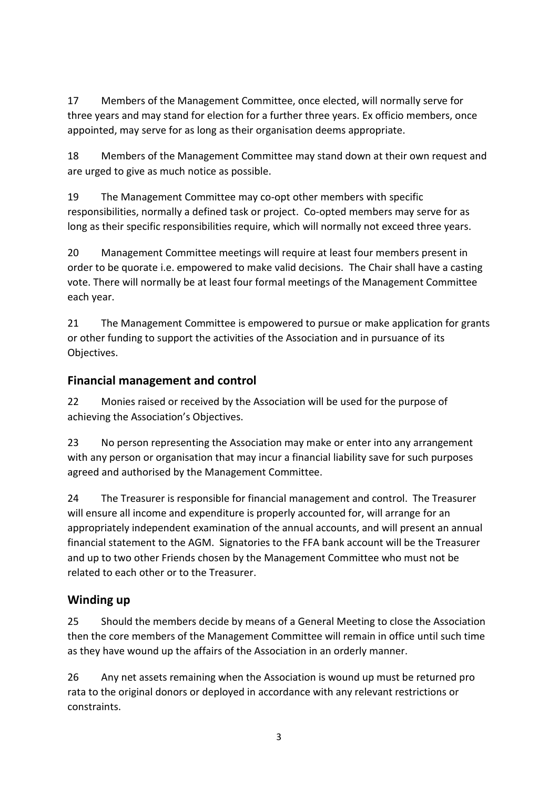17 Members of the Management Committee, once elected, will normally serve for three years and may stand for election for a further three years. Ex officio members, once appointed, may serve for as long as their organisation deems appropriate.

18 Members of the Management Committee may stand down at their own request and are urged to give as much notice as possible.

19 The Management Committee may co-opt other members with specific responsibilities, normally a defined task or project. Co-opted members may serve for as long as their specific responsibilities require, which will normally not exceed three years.

20 Management Committee meetings will require at least four members present in order to be quorate i.e. empowered to make valid decisions. The Chair shall have a casting vote. There will normally be at least four formal meetings of the Management Committee each year.

21 The Management Committee is empowered to pursue or make application for grants or other funding to support the activities of the Association and in pursuance of its Objectives.

### **Financial management and control**

22 Monies raised or received by the Association will be used for the purpose of achieving the Association's Objectives.

23 No person representing the Association may make or enter into any arrangement with any person or organisation that may incur a financial liability save for such purposes agreed and authorised by the Management Committee.

24 The Treasurer is responsible for financial management and control. The Treasurer will ensure all income and expenditure is properly accounted for, will arrange for an appropriately independent examination of the annual accounts, and will present an annual financial statement to the AGM. Signatories to the FFA bank account will be the Treasurer and up to two other Friends chosen by the Management Committee who must not be related to each other or to the Treasurer.

# **Winding up**

25 Should the members decide by means of a General Meeting to close the Association then the core members of the Management Committee will remain in office until such time as they have wound up the affairs of the Association in an orderly manner.

26 Any net assets remaining when the Association is wound up must be returned pro rata to the original donors or deployed in accordance with any relevant restrictions or constraints.